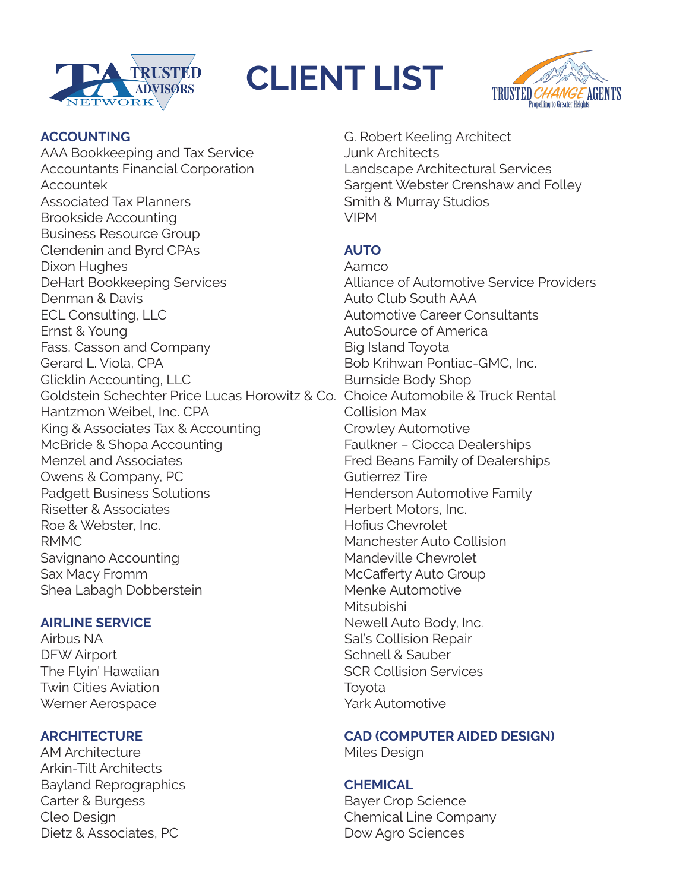

# **CLIENT LIST**



### **ACCOUNTING**

AAA Bookkeeping and Tax Service Accountants Financial Corporation Accountek Associated Tax Planners Brookside Accounting Business Resource Group Clendenin and Byrd CPAs Dixon Hughes DeHart Bookkeeping Services Denman & Davis ECL Consulting, LLC Ernst & Young Fass, Casson and Company Gerard L. Viola, CPA Glicklin Accounting, LLC Goldstein Schechter Price Lucas Horowitz & Co. Choice Automobile & Truck Rental Hantzmon Weibel, Inc. CPA King & Associates Tax & Accounting McBride & Shopa Accounting Menzel and Associates Owens & Company, PC Padgett Business Solutions Risetter & Associates Roe & Webster, Inc. RMMC Savignano Accounting Sax Macy Fromm Shea Labagh Dobberstein

#### **AIRLINE SERVICE**

Airbus NA DFW Airport The Flyin' Hawaiian Twin Cities Aviation Werner Aerospace

# **ARCHITECTURE**

AM Architecture Arkin-Tilt Architects Bayland Reprographics Carter & Burgess Cleo Design Dietz & Associates, PC

G. Robert Keeling Architect Junk Architects Landscape Architectural Services Sargent Webster Crenshaw and Folley Smith & Murray Studios VIPM

# **AUTO**

Aamco Alliance of Automotive Service Providers Auto Club South AAA Automotive Career Consultants AutoSource of America Big Island Toyota Bob Krihwan Pontiac-GMC, Inc. Burnside Body Shop Collision Max Crowley Automotive Faulkner – Ciocca Dealerships Fred Beans Family of Dealerships Gutierrez Tire Henderson Automotive Family Herbert Motors, Inc. Hofius Chevrolet Manchester Auto Collision Mandeville Chevrolet McCafferty Auto Group Menke Automotive Mitsubishi Newell Auto Body, Inc. Sal's Collision Repair Schnell & Sauber SCR Collision Services Toyota Yark Automotive

# **CAD (COMPUTER AIDED DESIGN)**

Miles Design

# **CHEMICAL**

Bayer Crop Science Chemical Line Company Dow Agro Sciences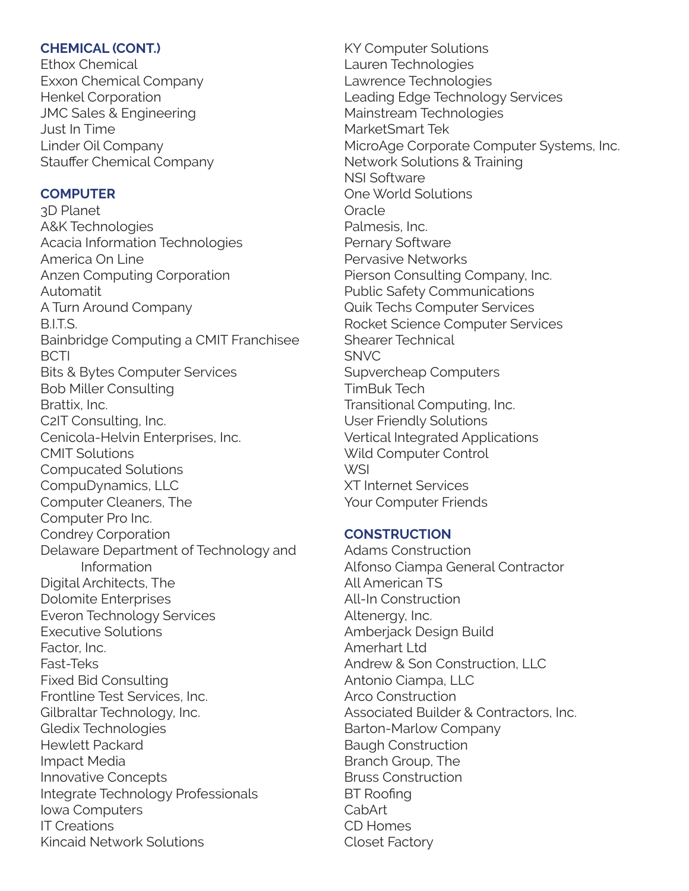#### **CHEMICAL (CONT.)**

Ethox Chemical Exxon Chemical Company Henkel Corporation JMC Sales & Engineering Just In Time Linder Oil Company Stauffer Chemical Company

# **COMPUTER**

3D Planet A&K Technologies Acacia Information Technologies America On Line Anzen Computing Corporation Automatit A Turn Around Company B.I.T.S. Bainbridge Computing a CMIT Franchisee **BCTI** Bits & Bytes Computer Services Bob Miller Consulting Brattix, Inc. C2IT Consulting, Inc. Cenicola-Helvin Enterprises, Inc. CMIT Solutions Compucated Solutions CompuDynamics, LLC Computer Cleaners, The Computer Pro Inc. Condrey Corporation Delaware Department of Technology and Information Digital Architects, The Dolomite Enterprises Everon Technology Services Executive Solutions Factor, Inc. Fast-Teks Fixed Bid Consulting Frontline Test Services, Inc. Gilbraltar Technology, Inc. Gledix Technologies Hewlett Packard Impact Media Innovative Concepts Integrate Technology Professionals Iowa Computers IT Creations Kincaid Network Solutions

KY Computer Solutions Lauren Technologies Lawrence Technologies Leading Edge Technology Services Mainstream Technologies MarketSmart Tek MicroAge Corporate Computer Systems, Inc. Network Solutions & Training NSI Software One World Solutions **Oracle** Palmesis, Inc. Pernary Software Pervasive Networks Pierson Consulting Company, Inc. Public Safety Communications Quik Techs Computer Services Rocket Science Computer Services Shearer Technical SNVC Supvercheap Computers TimBuk Tech Transitional Computing, Inc. User Friendly Solutions Vertical Integrated Applications Wild Computer Control WSI XT Internet Services Your Computer Friends

# **CONSTRUCTION**

Adams Construction Alfonso Ciampa General Contractor All American TS All-In Construction Altenergy, Inc. Amberjack Design Build Amerhart Ltd Andrew & Son Construction, LLC Antonio Ciampa, LLC Arco Construction Associated Builder & Contractors, Inc. Barton-Marlow Company Baugh Construction Branch Group, The Bruss Construction BT Roofing CabArt CD Homes Closet Factory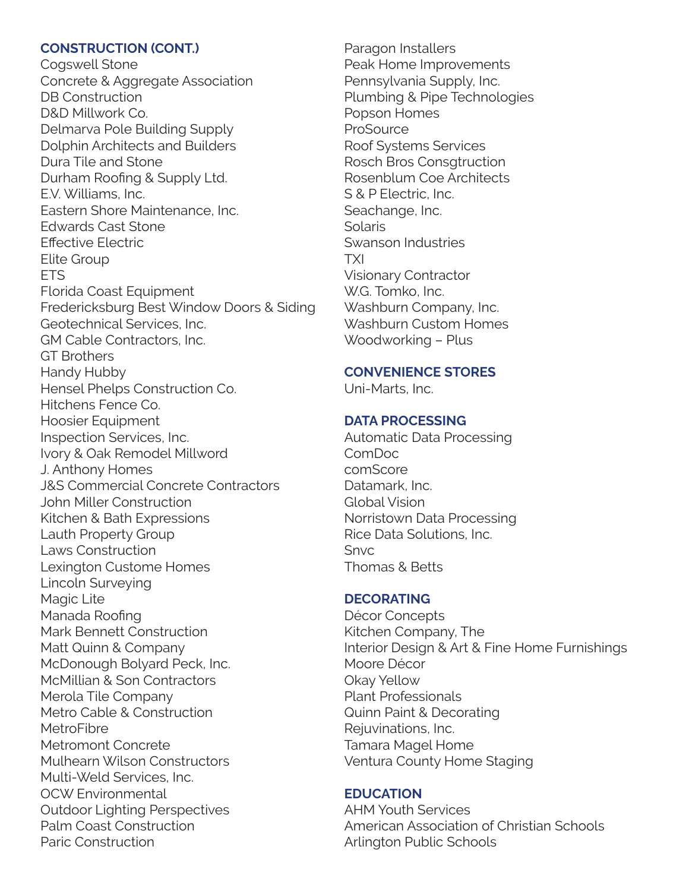#### **CONSTRUCTION (CONT.)**

Cogswell Stone Concrete & Aggregate Association DB Construction D&D Millwork Co. Delmarva Pole Building Supply Dolphin Architects and Builders Dura Tile and Stone Durham Roofing & Supply Ltd. E.V. Williams, Inc. Eastern Shore Maintenance, Inc. Edwards Cast Stone Effective Electric Elite Group ETS Florida Coast Equipment Fredericksburg Best Window Doors & Siding Geotechnical Services, Inc. GM Cable Contractors, Inc. GT Brothers Handy Hubby Hensel Phelps Construction Co. Hitchens Fence Co. Hoosier Equipment Inspection Services, Inc. Ivory & Oak Remodel Millword J. Anthony Homes J&S Commercial Concrete Contractors John Miller Construction Kitchen & Bath Expressions Lauth Property Group Laws Construction Lexington Custome Homes Lincoln Surveying Magic Lite Manada Roofing Mark Bennett Construction Matt Quinn & Company McDonough Bolyard Peck, Inc. McMillian & Son Contractors Merola Tile Company Metro Cable & Construction **MetroFibre** Metromont Concrete Mulhearn Wilson Constructors Multi-Weld Services, Inc. OCW Environmental Outdoor Lighting Perspectives Palm Coast Construction Paric Construction

Paragon Installers Peak Home Improvements Pennsylvania Supply, Inc. Plumbing & Pipe Technologies Popson Homes **ProSource** Roof Systems Services Rosch Bros Consgtruction Rosenblum Coe Architects S & P Electric, Inc. Seachange, Inc. **Solaris** Swanson Industries TXI Visionary Contractor W.G. Tomko, Inc. Washburn Company, Inc. Washburn Custom Homes Woodworking – Plus

#### **CONVENIENCE STORES**

Uni-Marts, Inc.

#### **DATA PROCESSING**

Automatic Data Processing ComDoc comScore Datamark, Inc. Global Vision Norristown Data Processing Rice Data Solutions, Inc. Snvc Thomas & Betts

#### **DECORATING**

Décor Concepts Kitchen Company, The Interior Design & Art & Fine Home Furnishings Moore Décor Okay Yellow Plant Professionals Quinn Paint & Decorating Rejuvinations, Inc. Tamara Magel Home Ventura County Home Staging

#### **EDUCATION**

AHM Youth Services American Association of Christian Schools Arlington Public Schools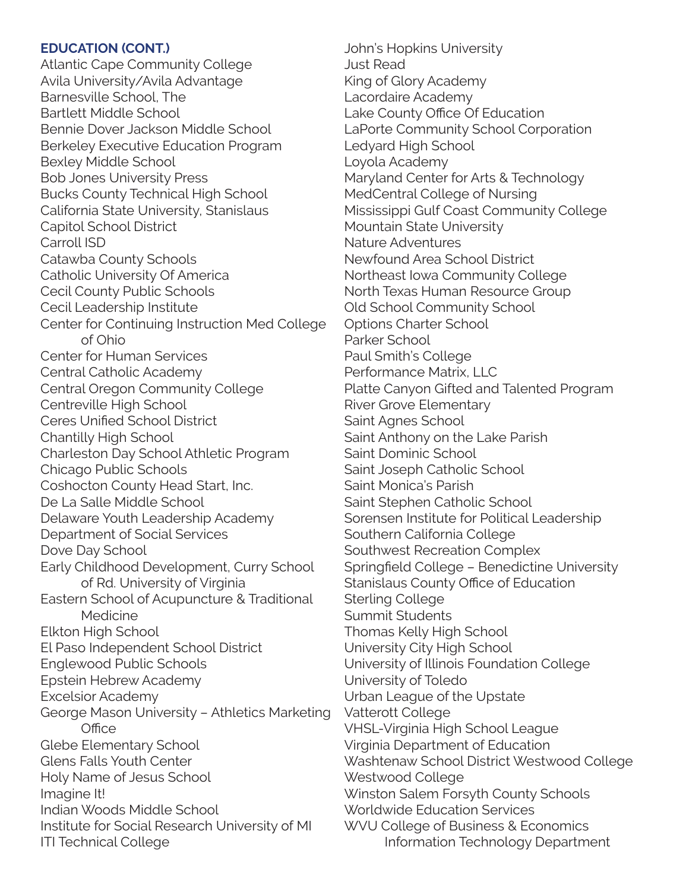#### **EDUCATION (CONT.)**

Atlantic Cape Community College Avila University/Avila Advantage Barnesville School, The Bartlett Middle School Bennie Dover Jackson Middle School Berkeley Executive Education Program Bexley Middle School Bob Jones University Press Bucks County Technical High School California State University, Stanislaus Capitol School District Carroll ISD Catawba County Schools Catholic University Of America Cecil County Public Schools Cecil Leadership Institute Center for Continuing Instruction Med College of Ohio Center for Human Services Central Catholic Academy Central Oregon Community College Centreville High School Ceres Unified School District Chantilly High School Charleston Day School Athletic Program Chicago Public Schools Coshocton County Head Start, Inc. De La Salle Middle School Delaware Youth Leadership Academy Department of Social Services Dove Day School Early Childhood Development, Curry School of Rd. University of Virginia Eastern School of Acupuncture & Traditional **Medicine** Elkton High School El Paso Independent School District Englewood Public Schools Epstein Hebrew Academy Excelsior Academy George Mason University – Athletics Marketing **Office** Glebe Elementary School Glens Falls Youth Center Holy Name of Jesus School Imagine It! Indian Woods Middle School Institute for Social Research University of MI ITI Technical College

John's Hopkins University Just Read King of Glory Academy Lacordaire Academy Lake County Office Of Education LaPorte Community School Corporation Ledyard High School Loyola Academy Maryland Center for Arts & Technology MedCentral College of Nursing Mississippi Gulf Coast Community College Mountain State University Nature Adventures Newfound Area School District Northeast Iowa Community College North Texas Human Resource Group Old School Community School Options Charter School Parker School Paul Smith's College Performance Matrix, LLC Platte Canyon Gifted and Talented Program River Grove Elementary Saint Agnes School Saint Anthony on the Lake Parish Saint Dominic School Saint Joseph Catholic School Saint Monica's Parish Saint Stephen Catholic School Sorensen Institute for Political Leadership Southern California College Southwest Recreation Complex Springfield College – Benedictine University Stanislaus County Office of Education Sterling College Summit Students Thomas Kelly High School University City High School University of Illinois Foundation College University of Toledo Urban League of the Upstate Vatterott College VHSL-Virginia High School League Virginia Department of Education Washtenaw School District Westwood College Westwood College Winston Salem Forsyth County Schools Worldwide Education Services WVU College of Business & Economics Information Technology Department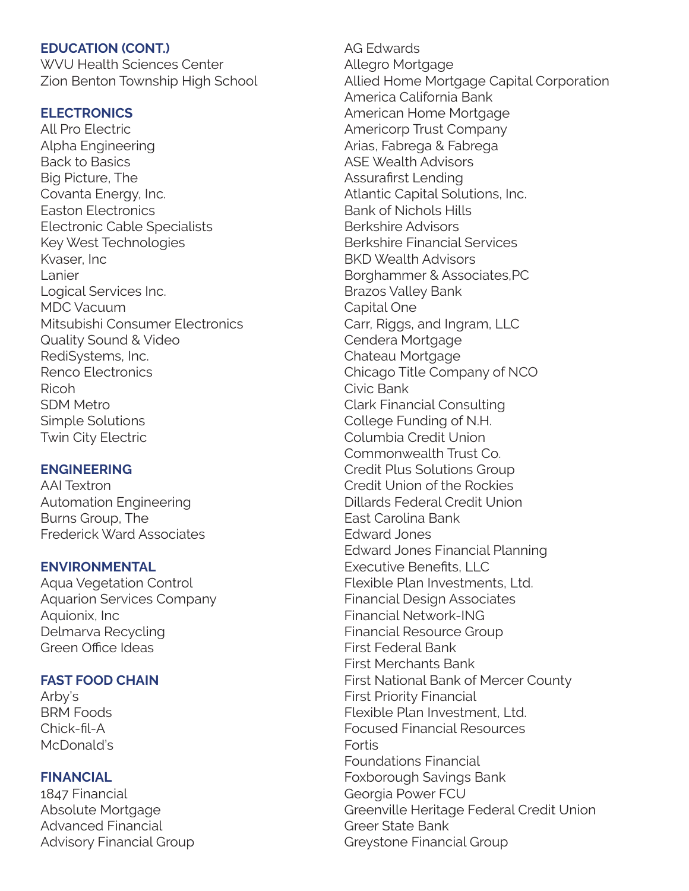#### **EDUCATION (CONT.)**

WVU Health Sciences Center Zion Benton Township High School

#### **ELECTRONICS**

All Pro Electric Alpha Engineering Back to Basics Big Picture, The Covanta Energy, Inc. Easton Electronics Electronic Cable Specialists Key West Technologies Kvaser, Inc Lanier Logical Services Inc. MDC Vacuum Mitsubishi Consumer Electronics Quality Sound & Video RediSystems, Inc. Renco Electronics Ricoh SDM Metro Simple Solutions Twin City Electric

#### **ENGINEERING**

AAI Textron Automation Engineering Burns Group, The Frederick Ward Associates

#### **ENVIRONMENTAL**

Aqua Vegetation Control Aquarion Services Company Aquionix, Inc Delmarva Recycling Green Office Ideas

#### **FAST FOOD CHAIN**

Arby's BRM Foods Chick-fil-A McDonald's

#### **FINANCIAL**

1847 Financial Absolute Mortgage Advanced Financial Advisory Financial Group AG Edwards Allegro Mortgage Allied Home Mortgage Capital Corporation America California Bank American Home Mortgage Americorp Trust Company Arias, Fabrega & Fabrega ASE Wealth Advisors Assurafirst Lending Atlantic Capital Solutions, Inc. Bank of Nichols Hills Berkshire Advisors Berkshire Financial Services BKD Wealth Advisors Borghammer & Associates,PC Brazos Valley Bank Capital One Carr, Riggs, and Ingram, LLC Cendera Mortgage Chateau Mortgage Chicago Title Company of NCO Civic Bank Clark Financial Consulting College Funding of N.H. Columbia Credit Union Commonwealth Trust Co. Credit Plus Solutions Group Credit Union of the Rockies Dillards Federal Credit Union East Carolina Bank Edward Jones Edward Jones Financial Planning Executive Benefits, LLC Flexible Plan Investments, Ltd. Financial Design Associates Financial Network-ING Financial Resource Group First Federal Bank First Merchants Bank First National Bank of Mercer County First Priority Financial Flexible Plan Investment, Ltd. Focused Financial Resources Fortis Foundations Financial Foxborough Savings Bank Georgia Power FCU Greenville Heritage Federal Credit Union Greer State Bank Greystone Financial Group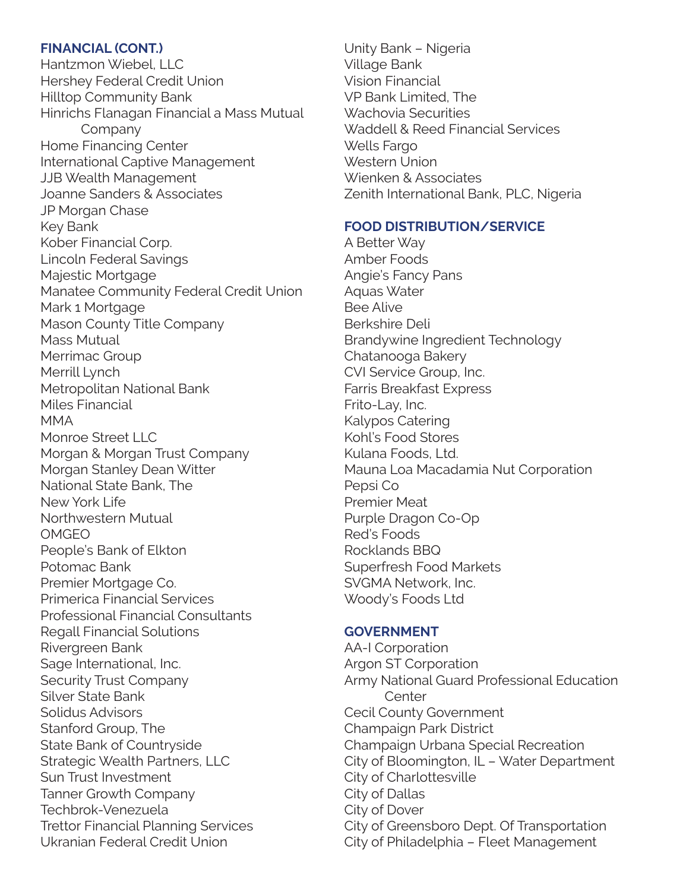#### **FINANCIAL (CONT.)**

Hantzmon Wiebel, LLC Hershey Federal Credit Union Hilltop Community Bank Hinrichs Flanagan Financial a Mass Mutual Company Home Financing Center International Captive Management JJB Wealth Management Joanne Sanders & Associates JP Morgan Chase Key Bank Kober Financial Corp. Lincoln Federal Savings Majestic Mortgage Manatee Community Federal Credit Union Mark 1 Mortgage Mason County Title Company Mass Mutual Merrimac Group Merrill Lynch Metropolitan National Bank Miles Financial MMA Monroe Street LLC Morgan & Morgan Trust Company Morgan Stanley Dean Witter National State Bank, The New York Life Northwestern Mutual OMGEO People's Bank of Elkton Potomac Bank Premier Mortgage Co. Primerica Financial Services Professional Financial Consultants Regall Financial Solutions Rivergreen Bank Sage International, Inc. Security Trust Company Silver State Bank Solidus Advisors Stanford Group, The State Bank of Countryside Strategic Wealth Partners, LLC Sun Trust Investment Tanner Growth Company Techbrok-Venezuela Trettor Financial Planning Services Ukranian Federal Credit Union

Unity Bank – Nigeria Village Bank Vision Financial VP Bank Limited, The Wachovia Securities Waddell & Reed Financial Services Wells Fargo Western Union Wienken & Associates Zenith International Bank, PLC, Nigeria

#### **FOOD DISTRIBUTION/SERVICE**

A Better Way Amber Foods Angie's Fancy Pans Aquas Water Bee Alive Berkshire Deli Brandywine Ingredient Technology Chatanooga Bakery CVI Service Group, Inc. Farris Breakfast Express Frito-Lay, Inc. Kalypos Catering Kohl's Food Stores Kulana Foods, Ltd. Mauna Loa Macadamia Nut Corporation Pepsi Co Premier Meat Purple Dragon Co-Op Red's Foods Rocklands BBQ Superfresh Food Markets SVGMA Network, Inc. Woody's Foods Ltd

#### **GOVERNMENT**

AA-I Corporation Argon ST Corporation Army National Guard Professional Education **Center** Cecil County Government Champaign Park District Champaign Urbana Special Recreation City of Bloomington, IL – Water Department City of Charlottesville City of Dallas City of Dover City of Greensboro Dept. Of Transportation City of Philadelphia – Fleet Management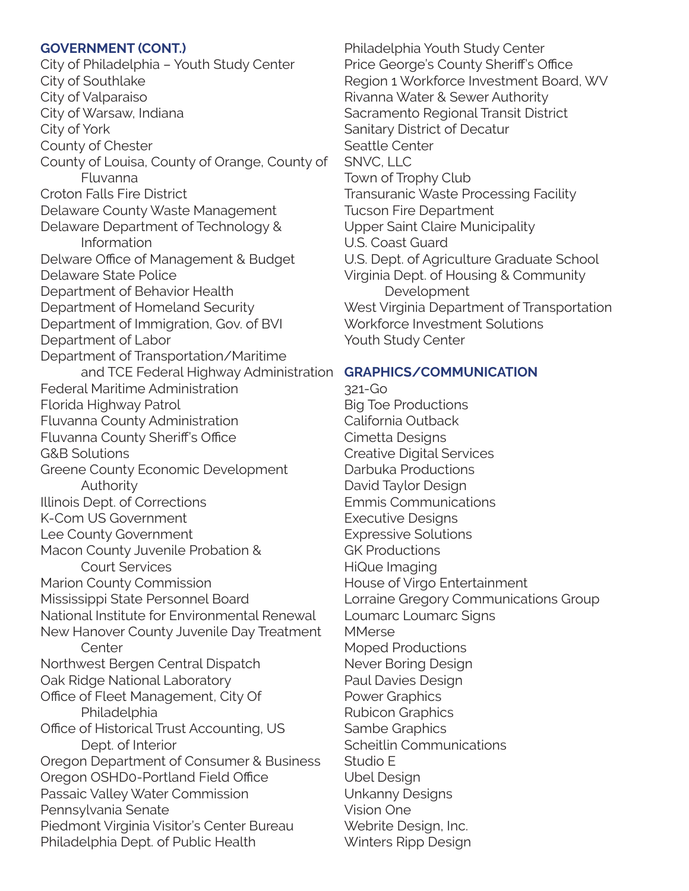#### **GOVERNMENT (CONT.)**

and TCE Federal Highway Administration C**RAPHICS/COMMUNICATION** City of Philadelphia – Youth Study Center City of Southlake City of Valparaiso City of Warsaw, Indiana City of York County of Chester County of Louisa, County of Orange, County of Fluvanna Croton Falls Fire District Delaware County Waste Management Delaware Department of Technology & Information Delware Office of Management & Budget Delaware State Police Department of Behavior Health Department of Homeland Security Department of Immigration, Gov. of BVI Department of Labor Department of Transportation/Maritime Federal Maritime Administration Florida Highway Patrol Fluvanna County Administration Fluvanna County Sheriff's Office G&B Solutions Greene County Economic Development Authority Illinois Dept. of Corrections K-Com US Government Lee County Government Macon County Juvenile Probation & Court Services Marion County Commission Mississippi State Personnel Board National Institute for Environmental Renewal New Hanover County Juvenile Day Treatment **Center** Northwest Bergen Central Dispatch Oak Ridge National Laboratory Office of Fleet Management, City Of Philadelphia Office of Historical Trust Accounting, US Dept. of Interior Oregon Department of Consumer & Business Oregon OSHD0-Portland Field Office Passaic Valley Water Commission Pennsylvania Senate Piedmont Virginia Visitor's Center Bureau Philadelphia Dept. of Public Health

Philadelphia Youth Study Center Price George's County Sheriff's Office Region 1 Workforce Investment Board, WV Rivanna Water & Sewer Authority Sacramento Regional Transit District Sanitary District of Decatur Seattle Center SNVC, LLC Town of Trophy Club Transuranic Waste Processing Facility Tucson Fire Department Upper Saint Claire Municipality U.S. Coast Guard U.S. Dept. of Agriculture Graduate School Virginia Dept. of Housing & Community Development West Virginia Department of Transportation Workforce Investment Solutions Youth Study Center

321-Go Big Toe Productions California Outback Cimetta Designs Creative Digital Services Darbuka Productions David Taylor Design Emmis Communications Executive Designs Expressive Solutions GK Productions HiQue Imaging House of Virgo Entertainment Lorraine Gregory Communications Group Loumarc Loumarc Signs **MMerse** Moped Productions Never Boring Design Paul Davies Design Power Graphics Rubicon Graphics Sambe Graphics Scheitlin Communications Studio E Ubel Design Unkanny Designs Vision One Webrite Design, Inc. Winters Ripp Design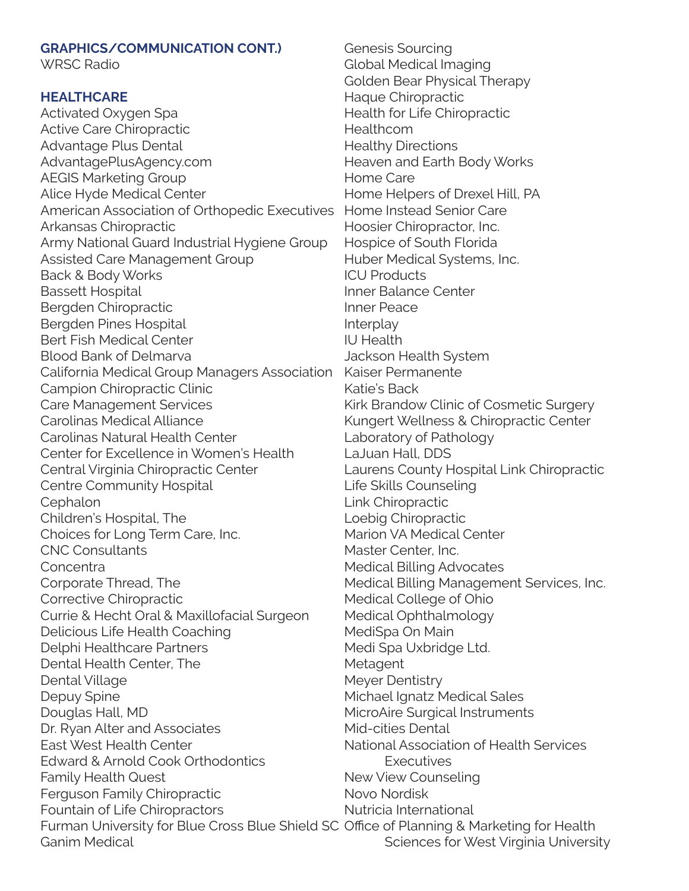| <b>GRAPHICS/COMMUNICATION CONT.)</b>                                                | Genesis S         |
|-------------------------------------------------------------------------------------|-------------------|
| <b>WRSC Radio</b>                                                                   | <b>Global Me</b>  |
|                                                                                     | Golden Be         |
| <b>HEALTHCARE</b>                                                                   | Haque Ch          |
| Activated Oxygen Spa                                                                | Health for        |
| <b>Active Care Chiropractic</b>                                                     | Healthcon         |
| Advantage Plus Dental                                                               | <b>Healthy Di</b> |
| AdvantagePlusAgency.com                                                             | Heaven ar         |
| <b>AEGIS Marketing Group</b>                                                        | Home Car          |
| Alice Hyde Medical Center                                                           | Home Hel          |
| American Association of Orthopedic Executives                                       | Home Inst         |
| Arkansas Chiropractic                                                               | Hoosier Cl        |
| Army National Guard Industrial Hygiene Group                                        | Hospice of        |
| <b>Assisted Care Management Group</b>                                               | Huber Me          |
| Back & Body Works                                                                   | <b>ICU Produ</b>  |
| <b>Bassett Hospital</b>                                                             | Inner Bala        |
| Bergden Chiropractic                                                                | <b>Inner Peac</b> |
| Bergden Pines Hospital                                                              | Interplay         |
| <b>Bert Fish Medical Center</b>                                                     | <b>IU Health</b>  |
| <b>Blood Bank of Delmarva</b>                                                       | Jackson H         |
| California Medical Group Managers Association                                       | <b>Kaiser Per</b> |
| Campion Chiropractic Clinic                                                         | Katie's Bad       |
| <b>Care Management Services</b>                                                     | <b>Kirk Brand</b> |
| <b>Carolinas Medical Alliance</b>                                                   | Kungert W         |
| Carolinas Natural Health Center                                                     | Laboratory        |
| Center for Excellence in Women's Health                                             | LaJuan Ha         |
| Central Virginia Chiropractic Center                                                | Laurens C         |
| Centre Community Hospital                                                           | Life Skills       |
| Cephalon                                                                            | Link Chiro        |
| Children's Hospital, The                                                            | Loebig Ch         |
| Choices for Long Term Care, Inc.                                                    | Marion VA         |
| <b>CNC Consultants</b>                                                              | Master Ce         |
| Concentra                                                                           | <b>Medical Bi</b> |
| Corporate Thread, The                                                               | <b>Medical Bi</b> |
| Corrective Chiropractic                                                             | Medical C         |
| Currie & Hecht Oral & Maxillofacial Surgeon                                         | Medical O         |
| Delicious Life Health Coaching                                                      | MediSpa (         |
| Delphi Healthcare Partners                                                          | Medi Spa          |
| Dental Health Center, The                                                           | Metagent          |
| Dental Village                                                                      | Meyer Der         |
| Depuy Spine                                                                         | Michael Ig        |
| Douglas Hall, MD                                                                    | MicroAire         |
| Dr. Ryan Alter and Associates                                                       | Mid-cities        |
| East West Health Center                                                             | National A        |
| Edward & Arnold Cook Orthodontics                                                   | Exe               |
| <b>Family Health Quest</b>                                                          | <b>New View</b>   |
| <b>Ferguson Family Chiropractic</b>                                                 | Novo Nord         |
| Fountain of Life Chiropractors                                                      | Nutricia In       |
| Furman University for Blue Cross Blue Shield SC Office of P<br><b>Ganim Medical</b> |                   |
|                                                                                     | Scie              |

ourcing edical Imaging ear Physical Therapy iropractic Life Chiropractic Healthcom irections nd Earth Body Works e Ipers of Drexel Hill, PA tead Senior Care hiropractor, Inc. of South Florida dical Systems, Inc. ıcts **Ince Center** Inner Peace lealth System manente ck low Clinic of Cosmetic Surgery Vellness & Chiropractic Center y of Pathology all, DDS Ounty Hospital Link Chiropractic Counseling practic niropractic Medical Center nter, Inc. illing Advocates illing Management Services, Inc. ollege of Ohio phthalmology On Main Uxbridge Ltd. ntistry natz Medical Sales Surgical Instruments Dental ssociation of Health Services ecutives Counseling disk **iternational** lanning & Marketing for Health ences for West Virginia University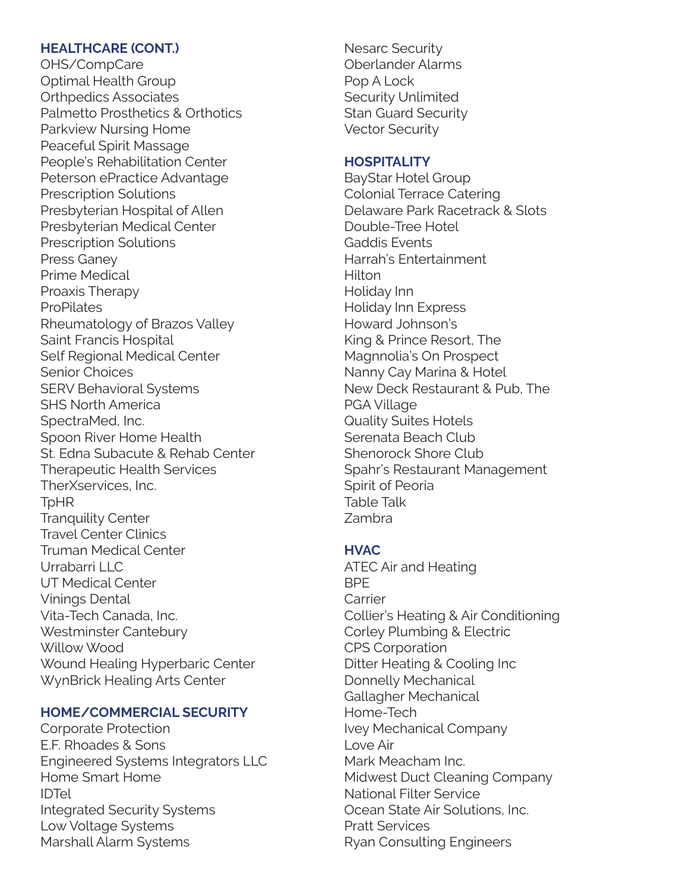#### **HEALTHCARE (CONT.)**

OHS/CompCare Optimal Health Group Orthpedics Associates Palmetto Prosthetics & Orthotics Parkview Nursing Home Peaceful Spirit Massage People's Rehabilitation Center Peterson ePractice Advantage Prescription Solutions Presbyterian Hospital of Allen Presbyterian Medical Center Prescription Solutions Press Ganey Prime Medical Proaxis Therapy **ProPilates** Rheumatology of Brazos Valley Saint Francis Hospital Self Regional Medical Center Senior Choices SERV Behavioral Systems SHS North America SpectraMed, Inc. Spoon River Home Health St. Edna Subacute & Rehab Center Therapeutic Health Services TherXservices, Inc. TpHR Tranquility Center Travel Center Clinics Truman Medical Center Urrabarri I I C UT Medical Center Vinings Dental Vita-Tech Canada, Inc. Westminster Cantebury Willow Wood Wound Healing Hyperbaric Center WynBrick Healing Arts Center

#### **HOME/COMMERCIAL SECURITY**

Corporate Protection E.F. Rhoades & Sons Engineered Systems Integrators LLC Home Smart Home IDTel Integrated Security Systems Low Voltage Systems Marshall Alarm Systems

Nesarc Security Oberlander Alarms Pop A Lock Security Unlimited Stan Guard Security Vector Security

#### **HOSPITALITY**

BayStar Hotel Group Colonial Terrace Catering Delaware Park Racetrack & Slots Double-Tree Hotel Gaddis Events Harrah's Entertainment **Hilton** Holiday Inn Holiday Inn Express Howard Johnson's King & Prince Resort, The Magnnolia's On Prospect Nanny Cay Marina & Hotel New Deck Restaurant & Pub, The PGA Village Quality Suites Hotels Serenata Beach Club Shenorock Shore Club Spahr's Restaurant Management Spirit of Peoria Table Talk Zambra

#### **HVAC**

ATEC Air and Heating BPE **Carrier** Collier's Heating & Air Conditioning Corley Plumbing & Electric CPS Corporation Ditter Heating & Cooling Inc Donnelly Mechanical Gallagher Mechanical Home-Tech Ivey Mechanical Company Love Air Mark Meacham Inc. Midwest Duct Cleaning Company National Filter Service Ocean State Air Solutions, Inc. Pratt Services Ryan Consulting Engineers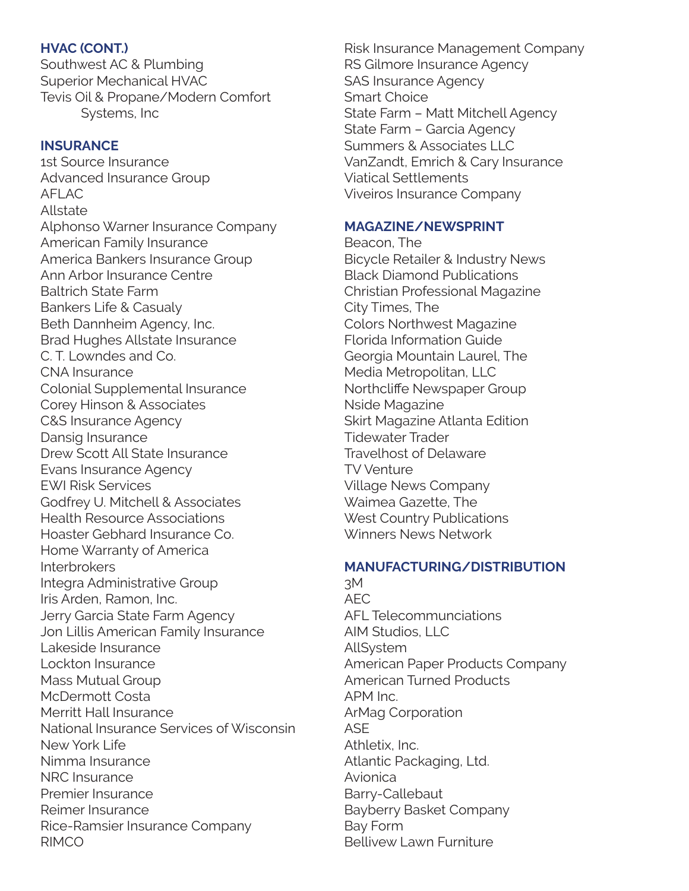#### **HVAC (CONT.)**

Southwest AC & Plumbing Superior Mechanical HVAC Tevis Oil & Propane/Modern Comfort Systems, Inc

#### **INSURANCE**

1st Source Insurance Advanced Insurance Group AFLAC Allstate Alphonso Warner Insurance Company American Family Insurance America Bankers Insurance Group Ann Arbor Insurance Centre Baltrich State Farm Bankers Life & Casualy Beth Dannheim Agency, Inc. Brad Hughes Allstate Insurance C. T. Lowndes and Co. CNA Insurance Colonial Supplemental Insurance Corey Hinson & Associates C&S Insurance Agency Dansig Insurance Drew Scott All State Insurance Evans Insurance Agency EWI Risk Services Godfrey U. Mitchell & Associates Health Resource Associations Hoaster Gebhard Insurance Co. Home Warranty of America **Interbrokers** Integra Administrative Group Iris Arden, Ramon, Inc. Jerry Garcia State Farm Agency Jon Lillis American Family Insurance Lakeside Insurance Lockton Insurance Mass Mutual Group McDermott Costa Merritt Hall Insurance National Insurance Services of Wisconsin New York Life Nimma Insurance NRC Insurance Premier Insurance Reimer Insurance Rice-Ramsier Insurance Company RIMCO

Risk Insurance Management Company RS Gilmore Insurance Agency SAS Insurance Agency Smart Choice State Farm – Matt Mitchell Agency State Farm – Garcia Agency Summers & Associates LLC VanZandt, Emrich & Cary Insurance Viatical Settlements Viveiros Insurance Company

#### **MAGAZINE/NEWSPRINT**

Beacon, The Bicycle Retailer & Industry News Black Diamond Publications Christian Professional Magazine City Times, The Colors Northwest Magazine Florida Information Guide Georgia Mountain Laurel, The Media Metropolitan, LLC Northcliffe Newspaper Group Nside Magazine Skirt Magazine Atlanta Edition Tidewater Trader Travelhost of Delaware TV Venture Village News Company Waimea Gazette, The West Country Publications Winners News Network

#### **MANUFACTURING/DISTRIBUTION**

3M AEC AFL Telecommunciations AIM Studios, LLC AllSystem American Paper Products Company American Turned Products APM Inc. ArMag Corporation ASE Athletix, Inc. Atlantic Packaging, Ltd. Avionica Barry-Callebaut Bayberry Basket Company Bay Form Bellivew Lawn Furniture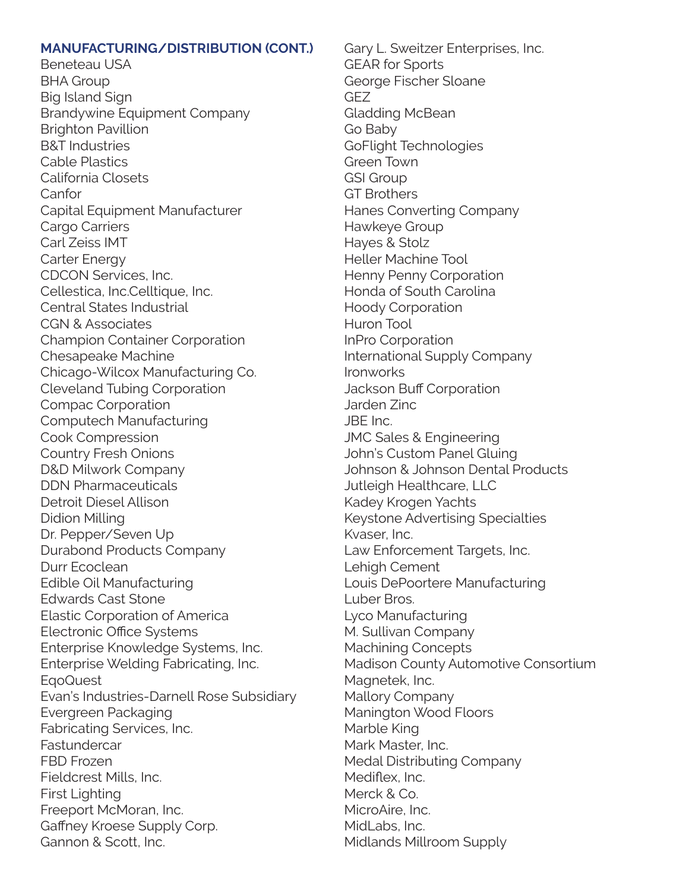#### **MANUFACTURING/DISTRIBUTION (CONT.)**

Beneteau USA BHA Group Big Island Sign Brandywine Equipment Company Brighton Pavillion B&T Industries Cable Plastics California Closets Canfor Capital Equipment Manufacturer Cargo Carriers Carl Zeiss IMT Carter Energy CDCON Services, Inc. Cellestica, Inc.Celltique, Inc. Central States Industrial CGN & Associates Champion Container Corporation Chesapeake Machine Chicago-Wilcox Manufacturing Co. Cleveland Tubing Corporation Compac Corporation Computech Manufacturing Cook Compression Country Fresh Onions D&D Milwork Company DDN Pharmaceuticals Detroit Diesel Allison Didion Milling Dr. Pepper/Seven Up Durabond Products Company Durr Ecoclean Edible Oil Manufacturing Edwards Cast Stone Elastic Corporation of America Electronic Office Systems Enterprise Knowledge Systems, Inc. Enterprise Welding Fabricating, Inc. EqoQuest Evan's Industries-Darnell Rose Subsidiary Evergreen Packaging Fabricating Services, Inc. Fastundercar FBD Frozen Fieldcrest Mills, Inc. First Lighting Freeport McMoran, Inc. Gaffney Kroese Supply Corp. Gannon & Scott, Inc.

Gary L. Sweitzer Enterprises, Inc. GEAR for Sports George Fischer Sloane GEZ Gladding McBean Go Baby GoFlight Technologies Green Town GSI Group GT Brothers Hanes Converting Company Hawkeye Group Hayes & Stolz Heller Machine Tool Henny Penny Corporation Honda of South Carolina Hoody Corporation Huron Tool InPro Corporation International Supply Company Ironworks Jackson Buff Corporation Jarden Zinc JBE Inc. JMC Sales & Engineering John's Custom Panel Gluing Johnson & Johnson Dental Products Jutleigh Healthcare, LLC Kadey Krogen Yachts Keystone Advertising Specialties Kvaser, Inc. Law Enforcement Targets, Inc. Lehigh Cement Louis DePoortere Manufacturing Luber Bros. Lyco Manufacturing M. Sullivan Company Machining Concepts Madison County Automotive Consortium Magnetek, Inc. Mallory Company Manington Wood Floors Marble King Mark Master, Inc. Medal Distributing Company Mediflex, Inc. Merck & Co. MicroAire, Inc. MidLabs, Inc. Midlands Millroom Supply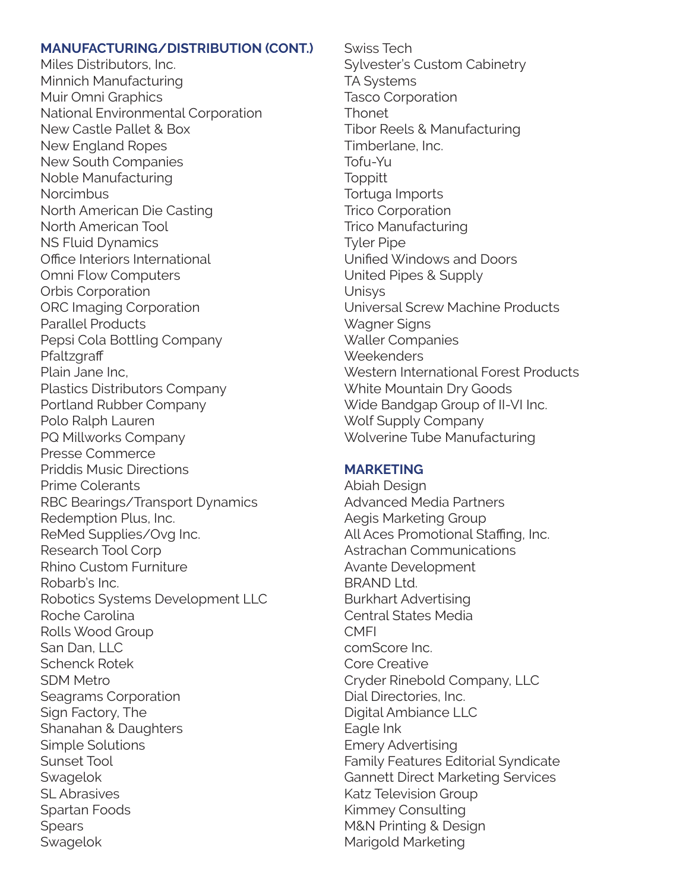#### **MANUFACTURING/DISTRIBUTION (CONT.)**

Miles Distributors, Inc. Minnich Manufacturing Muir Omni Graphics National Environmental Corporation New Castle Pallet & Box New England Ropes New South Companies Noble Manufacturing **Norcimbus** North American Die Casting North American Tool NS Fluid Dynamics Office Interiors International Omni Flow Computers Orbis Corporation ORC Imaging Corporation Parallel Products Pepsi Cola Bottling Company **Pfaltzgraff** Plain Jane Inc, Plastics Distributors Company Portland Rubber Company Polo Ralph Lauren PQ Millworks Company Presse Commerce Priddis Music Directions Prime Colerants RBC Bearings/Transport Dynamics Redemption Plus, Inc. ReMed Supplies/Ovg Inc. Research Tool Corp Rhino Custom Furniture Robarb's Inc. Robotics Systems Development LLC Roche Carolina Rolls Wood Group San Dan, LLC Schenck Rotek SDM Metro Seagrams Corporation Sign Factory, The Shanahan & Daughters Simple Solutions Sunset Tool **Swagelok** SL Abrasives Spartan Foods **Spears** Swagelok

Swiss Tech Sylvester's Custom Cabinetry TA Systems Tasco Corporation **Thonet** Tibor Reels & Manufacturing Timberlane, Inc. Tofu-Yu **Toppitt** Tortuga Imports Trico Corporation Trico Manufacturing Tyler Pipe Unified Windows and Doors United Pipes & Supply Unisys Universal Screw Machine Products Wagner Signs Waller Companies **Weekenders** Western International Forest Products White Mountain Dry Goods Wide Bandgap Group of II-VI Inc. Wolf Supply Company Wolverine Tube Manufacturing

#### **MARKETING**

Abiah Design Advanced Media Partners Aegis Marketing Group All Aces Promotional Staffing, Inc. Astrachan Communications Avante Development BRAND Ltd. Burkhart Advertising Central States Media **CMFI** comScore Inc. Core Creative Cryder Rinebold Company, LLC Dial Directories, Inc. Digital Ambiance LLC Eagle Ink Emery Advertising Family Features Editorial Syndicate Gannett Direct Marketing Services Katz Television Group Kimmey Consulting M&N Printing & Design Marigold Marketing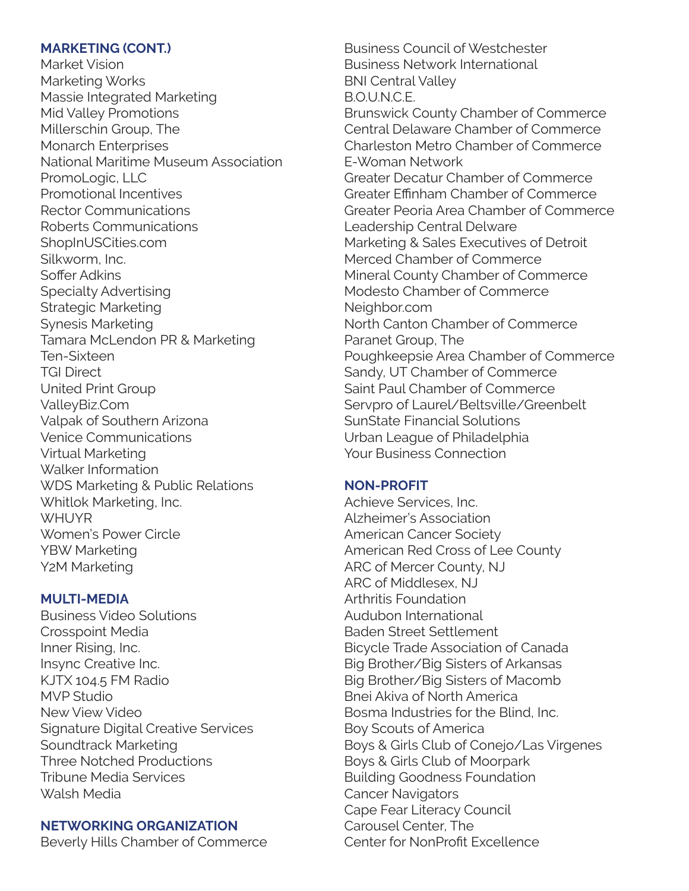#### **MARKETING (CONT.)**

Market Vision Marketing Works Massie Integrated Marketing Mid Valley Promotions Millerschin Group, The Monarch Enterprises National Maritime Museum Association PromoLogic, LLC Promotional Incentives Rector Communications Roberts Communications ShopInUSCities.com Silkworm, Inc. Soffer Adkins Specialty Advertising Strategic Marketing Synesis Marketing Tamara McLendon PR & Marketing Ten-Sixteen TGI Direct United Print Group ValleyBiz.Com Valpak of Southern Arizona Venice Communications Virtual Marketing Walker Information WDS Marketing & Public Relations Whitlok Marketing, Inc. **WHUYR** Women's Power Circle YBW Marketing Y2M Marketing

#### **MULTI-MEDIA**

Business Video Solutions Crosspoint Media Inner Rising, Inc. Insync Creative Inc. KJTX 104.5 FM Radio MVP Studio New View Video Signature Digital Creative Services Soundtrack Marketing Three Notched Productions Tribune Media Services Walsh Media

# **NETWORKING ORGANIZATION**

Beverly Hills Chamber of Commerce

Business Council of Westchester Business Network International BNI Central Valley B.O.U.N.C.E. Brunswick County Chamber of Commerce Central Delaware Chamber of Commerce Charleston Metro Chamber of Commerce E-Woman Network Greater Decatur Chamber of Commerce Greater Effinham Chamber of Commerce Greater Peoria Area Chamber of Commerce Leadership Central Delware Marketing & Sales Executives of Detroit Merced Chamber of Commerce Mineral County Chamber of Commerce Modesto Chamber of Commerce Neighbor.com North Canton Chamber of Commerce Paranet Group, The Poughkeepsie Area Chamber of Commerce Sandy, UT Chamber of Commerce Saint Paul Chamber of Commerce Servpro of Laurel/Beltsville/Greenbelt SunState Financial Solutions Urban League of Philadelphia Your Business Connection

# **NON-PROFIT**

Achieve Services, Inc. Alzheimer's Association American Cancer Society American Red Cross of Lee County ARC of Mercer County, NJ ARC of Middlesex, NJ Arthritis Foundation Audubon International Baden Street Settlement Bicycle Trade Association of Canada Big Brother/Big Sisters of Arkansas Big Brother/Big Sisters of Macomb Bnei Akiva of North America Bosma Industries for the Blind, Inc. Boy Scouts of America Boys & Girls Club of Conejo/Las Virgenes Boys & Girls Club of Moorpark Building Goodness Foundation Cancer Navigators Cape Fear Literacy Council Carousel Center, The Center for NonProfit Excellence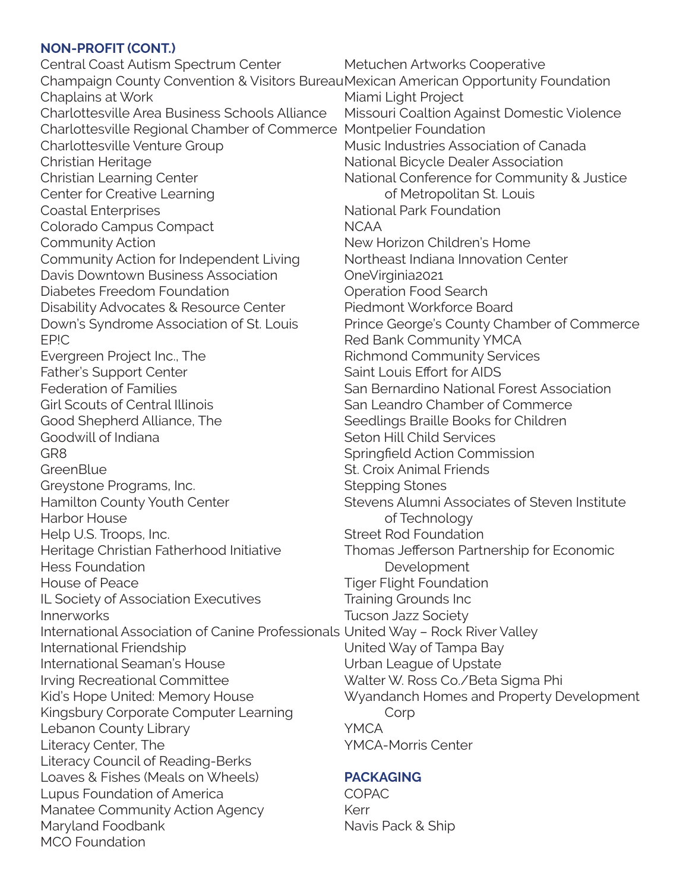#### **NON-PROFIT (CONT.)**

Metuchen Artworks Cooperative Champaign County Convention & Visitors BureauMexican American Opportunity Foundation Miami Light Project Charlottesville Regional Chamber of Commerce Montpelier Foundation National Park Foundation NCAA OneVirginia2021 Operation Food Search Saint Louis Effort for AIDS Seton Hill Child Services St. Croix Animal Friends Stepping Stones of Technology Street Rod Foundation Development Tiger Flight Foundation Training Grounds Inc Tucson Jazz Society International Association of Canine Professionals United Way – Rock River Valley United Way of Tampa Bay Urban League of Upstate **Corp** YMCA YMCA-Morris Center **PACKAGING** COPAC Kerr Navis Pack & Ship Central Coast Autism Spectrum Center Chaplains at Work Charlottesville Area Business Schools Alliance Charlottesville Venture Group Christian Heritage Christian Learning Center Center for Creative Learning Coastal Enterprises Colorado Campus Compact Community Action Community Action for Independent Living Davis Downtown Business Association Diabetes Freedom Foundation Disability Advocates & Resource Center Down's Syndrome Association of St. Louis EP!C Evergreen Project Inc., The Father's Support Center Federation of Families Girl Scouts of Central Illinois Good Shepherd Alliance, The Goodwill of Indiana GR8 **GreenBlue** Greystone Programs, Inc. Hamilton County Youth Center Harbor House Help U.S. Troops, Inc. Heritage Christian Fatherhood Initiative Hess Foundation House of Peace IL Society of Association Executives Innerworks International Friendship International Seaman's House Irving Recreational Committee Kid's Hope United: Memory House Kingsbury Corporate Computer Learning Lebanon County Library Literacy Center, The Literacy Council of Reading-Berks Loaves & Fishes (Meals on Wheels) Lupus Foundation of America Manatee Community Action Agency Maryland Foodbank MCO Foundation

Missouri Coaltion Against Domestic Violence Music Industries Association of Canada National Bicycle Dealer Association National Conference for Community & Justice of Metropolitan St. Louis New Horizon Children's Home Northeast Indiana Innovation Center Piedmont Workforce Board Prince George's County Chamber of Commerce Red Bank Community YMCA Richmond Community Services San Bernardino National Forest Association San Leandro Chamber of Commerce Seedlings Braille Books for Children Springfield Action Commission Stevens Alumni Associates of Steven Institute Thomas Jefferson Partnership for Economic Walter W. Ross Co./Beta Sigma Phi Wyandanch Homes and Property Development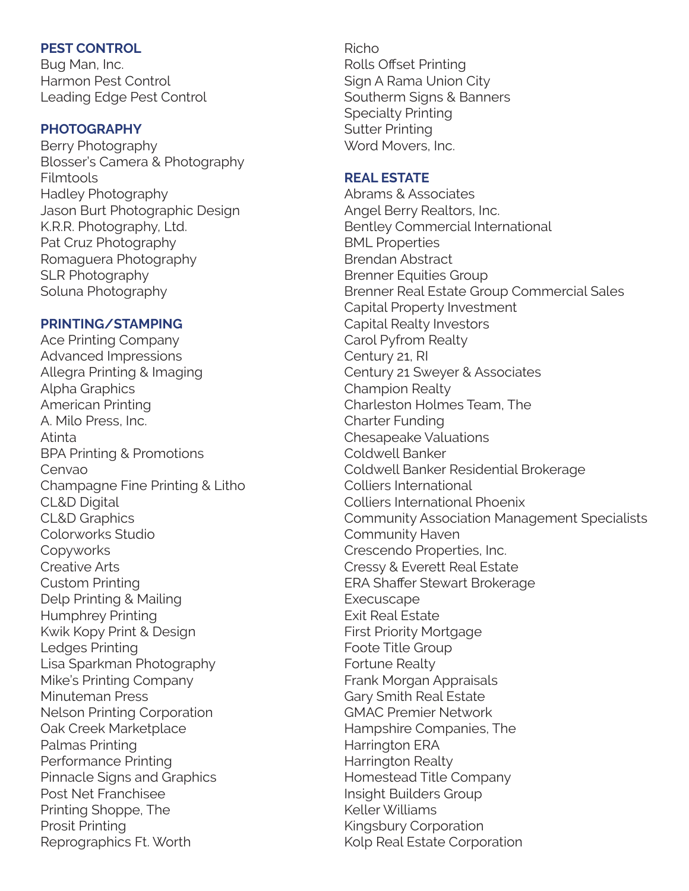#### **PEST CONTROL**

Bug Man, Inc. Harmon Pest Control Leading Edge Pest Control

#### **PHOTOGRAPHY**

Berry Photography Blosser's Camera & Photography Filmtools Hadley Photography Jason Burt Photographic Design K.R.R. Photography, Ltd. Pat Cruz Photography Romaguera Photography SLR Photography Soluna Photography

#### **PRINTING/STAMPING**

Ace Printing Company Advanced Impressions Allegra Printing & Imaging Alpha Graphics American Printing A. Milo Press, Inc. Atinta BPA Printing & Promotions Cenvao Champagne Fine Printing & Litho CL&D Digital CL&D Graphics Colorworks Studio **Copyworks** Creative Arts Custom Printing Delp Printing & Mailing Humphrey Printing Kwik Kopy Print & Design Ledges Printing Lisa Sparkman Photography Mike's Printing Company Minuteman Press Nelson Printing Corporation Oak Creek Marketplace Palmas Printing Performance Printing Pinnacle Signs and Graphics Post Net Franchisee Printing Shoppe, The Prosit Printing Reprographics Ft. Worth

#### Richo Rolls Offset Printing Sign A Rama Union City Southerm Signs & Banners Specialty Printing Sutter Printing Word Movers, Inc.

### **REAL ESTATE**

Abrams & Associates Angel Berry Realtors, Inc. Bentley Commercial International BML Properties Brendan Abstract Brenner Equities Group Brenner Real Estate Group Commercial Sales Capital Property Investment Capital Realty Investors Carol Pyfrom Realty Century 21, RI Century 21 Sweyer & Associates Champion Realty Charleston Holmes Team, The Charter Funding Chesapeake Valuations Coldwell Banker Coldwell Banker Residential Brokerage Colliers International Colliers International Phoenix Community Association Management Specialists Community Haven Crescendo Properties, Inc. Cressy & Everett Real Estate ERA Shaffer Stewart Brokerage **Execuscape** Exit Real Estate First Priority Mortgage Foote Title Group Fortune Realty Frank Morgan Appraisals Gary Smith Real Estate GMAC Premier Network Hampshire Companies, The Harrington ERA Harrington Realty Homestead Title Company Insight Builders Group Keller Williams Kingsbury Corporation Kolp Real Estate Corporation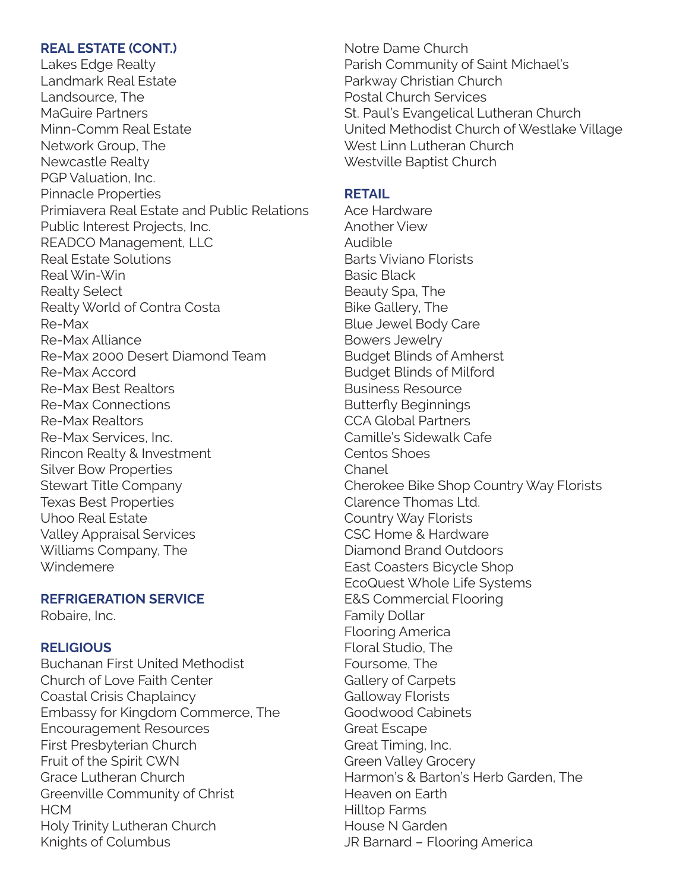#### **REAL ESTATE (CONT.)**

Lakes Edge Realty Landmark Real Estate Landsource, The MaGuire Partners Minn-Comm Real Estate Network Group, The Newcastle Realty PGP Valuation, Inc. Pinnacle Properties Primiavera Real Estate and Public Relations Public Interest Projects, Inc. READCO Management, LLC Real Estate Solutions Real Win-Win Realty Select Realty World of Contra Costa Re-Max Re-Max Alliance Re-Max 2000 Desert Diamond Team Re-Max Accord Re-Max Best Realtors Re-Max Connections Re-Max Realtors Re-Max Services, Inc. Rincon Realty & Investment Silver Bow Properties Stewart Title Company Texas Best Properties Uhoo Real Estate Valley Appraisal Services Williams Company, The Windemere

#### **REFRIGERATION SERVICE**

Robaire, Inc.

#### **RELIGIOUS**

Buchanan First United Methodist Church of Love Faith Center Coastal Crisis Chaplaincy Embassy for Kingdom Commerce, The Encouragement Resources First Presbyterian Church Fruit of the Spirit CWN Grace Lutheran Church Greenville Community of Christ **HCM** Holy Trinity Lutheran Church Knights of Columbus

Notre Dame Church Parish Community of Saint Michael's Parkway Christian Church Postal Church Services St. Paul's Evangelical Lutheran Church United Methodist Church of Westlake Village West Linn Lutheran Church Westville Baptist Church

#### **RETAIL**

Ace Hardware Another View Audible Barts Viviano Florists Basic Black Beauty Spa, The Bike Gallery, The Blue Jewel Body Care Bowers Jewelry Budget Blinds of Amherst Budget Blinds of Milford Business Resource Butterfly Beginnings CCA Global Partners Camille's Sidewalk Cafe Centos Shoes Chanel Cherokee Bike Shop Country Way Florists Clarence Thomas Ltd. Country Way Florists CSC Home & Hardware Diamond Brand Outdoors East Coasters Bicycle Shop EcoQuest Whole Life Systems E&S Commercial Flooring Family Dollar Flooring America Floral Studio, The Foursome, The Gallery of Carpets Galloway Florists Goodwood Cabinets Great Escape Great Timing, Inc. Green Valley Grocery Harmon's & Barton's Herb Garden, The Heaven on Earth Hilltop Farms House N Garden JR Barnard – Flooring America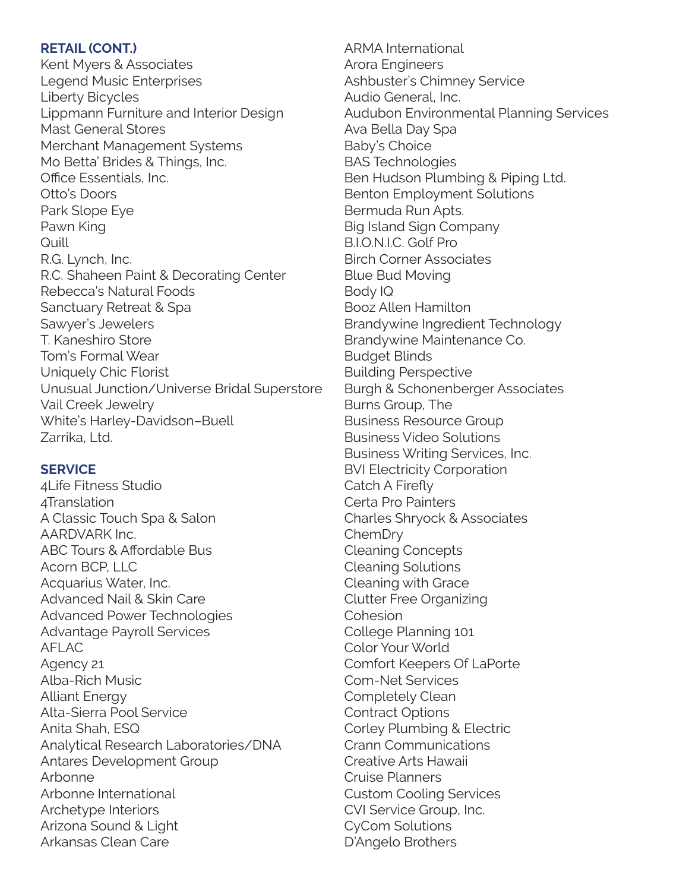#### **RETAIL (CONT.)**

Kent Myers & Associates Legend Music Enterprises Liberty Bicycles Lippmann Furniture and Interior Design Mast General Stores Merchant Management Systems Mo Betta' Brides & Things, Inc. Office Essentials, Inc. Otto's Doors Park Slope Eye Pawn King **Quill** R.G. Lynch, Inc. R.C. Shaheen Paint & Decorating Center Rebecca's Natural Foods Sanctuary Retreat & Spa Sawyer's Jewelers T. Kaneshiro Store Tom's Formal Wear Uniquely Chic Florist Unusual Junction/Universe Bridal Superstore Vail Creek Jewelry White's Harley-Davidson–Buell Zarrika, Ltd.

#### **SERVICE**

4Life Fitness Studio 4Translation A Classic Touch Spa & Salon AARDVARK Inc. ABC Tours & Affordable Bus Acorn BCP, LLC Acquarius Water, Inc. Advanced Nail & Skin Care Advanced Power Technologies Advantage Payroll Services AFLAC Agency 21 Alba-Rich Music Alliant Energy Alta-Sierra Pool Service Anita Shah, ESQ Analytical Research Laboratories/DNA Antares Development Group Arbonne Arbonne International Archetype Interiors Arizona Sound & Light Arkansas Clean Care

ARMA International Arora Engineers Ashbuster's Chimney Service Audio General, Inc. Audubon Environmental Planning Services Ava Bella Day Spa Baby's Choice BAS Technologies Ben Hudson Plumbing & Piping Ltd. Benton Employment Solutions Bermuda Run Apts. Big Island Sign Company B.I.O.N.I.C. Golf Pro Birch Corner Associates Blue Bud Moving Body IQ Booz Allen Hamilton Brandywine Ingredient Technology Brandywine Maintenance Co. Budget Blinds Building Perspective Burgh & Schonenberger Associates Burns Group, The Business Resource Group Business Video Solutions Business Writing Services, Inc. BVI Electricity Corporation Catch A Firefly Certa Pro Painters Charles Shryock & Associates ChemDry Cleaning Concepts Cleaning Solutions Cleaning with Grace Clutter Free Organizing Cohesion College Planning 101 Color Your World Comfort Keepers Of LaPorte Com-Net Services Completely Clean Contract Options Corley Plumbing & Electric Crann Communications Creative Arts Hawaii Cruise Planners Custom Cooling Services CVI Service Group, Inc. CyCom Solutions D'Angelo Brothers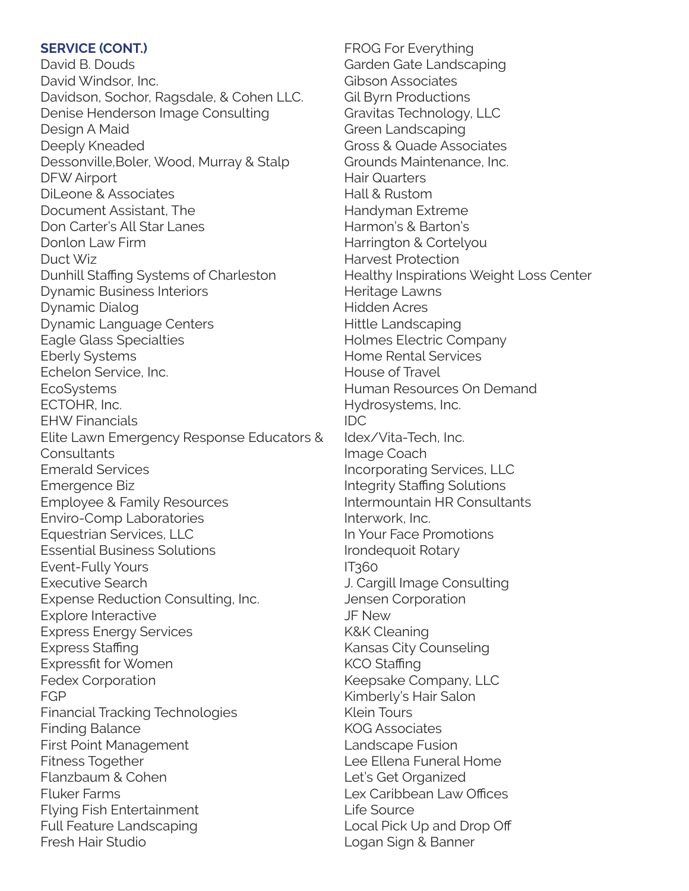#### **SERVICE (CONT.)**

David B. Douds David Windsor, Inc. Davidson, Sochor, Ragsdale, & Cohen LLC. Denise Henderson Image Consulting Design A Maid Deeply Kneaded Dessonville,Boler, Wood, Murray & Stalp DFW Airport DiLeone & Associates Document Assistant, The Don Carter's All Star Lanes Donlon Law Firm Duct Wiz Dunhill Staffing Systems of Charleston Dynamic Business Interiors Dynamic Dialog Dynamic Language Centers Eagle Glass Specialties Eberly Systems Echelon Service, Inc. **EcoSystems** ECTOHR, Inc. EHW Financials Elite Lawn Emergency Response Educators & **Consultants** Emerald Services Emergence Biz Employee & Family Resources Enviro-Comp Laboratories Equestrian Services, LLC Essential Business Solutions Event-Fully Yours Executive Search Expense Reduction Consulting, Inc. Explore Interactive Express Energy Services Express Staffing Expressfit for Women Fedex Corporation FGP Financial Tracking Technologies Finding Balance First Point Management Fitness Together Flanzbaum & Cohen Fluker Farms Flying Fish Entertainment Full Feature Landscaping Fresh Hair Studio

FROG For Everything Garden Gate Landscaping Gibson Associates Gil Byrn Productions Gravitas Technology, LLC Green Landscaping Gross & Quade Associates Grounds Maintenance, Inc. Hair Quarters Hall & Rustom Handyman Extreme Harmon's & Barton's Harrington & Cortelyou Harvest Protection Healthy Inspirations Weight Loss Center Heritage Lawns Hidden Acres Hittle Landscaping Holmes Electric Company Home Rental Services House of Travel Human Resources On Demand Hydrosystems, Inc. IDC Idex/Vita-Tech, Inc. Image Coach Incorporating Services, LLC Integrity Staffing Solutions Intermountain HR Consultants Interwork, Inc. In Your Face Promotions Irondequoit Rotary IT360 J. Cargill Image Consulting Jensen Corporation JF New K&K Cleaning Kansas City Counseling KCO Staffing Keepsake Company, LLC Kimberly's Hair Salon Klein Tours KOG Associates Landscape Fusion Lee Ellena Funeral Home Let's Get Organized Lex Caribbean Law Offices Life Source Local Pick Up and Drop Off Logan Sign & Banner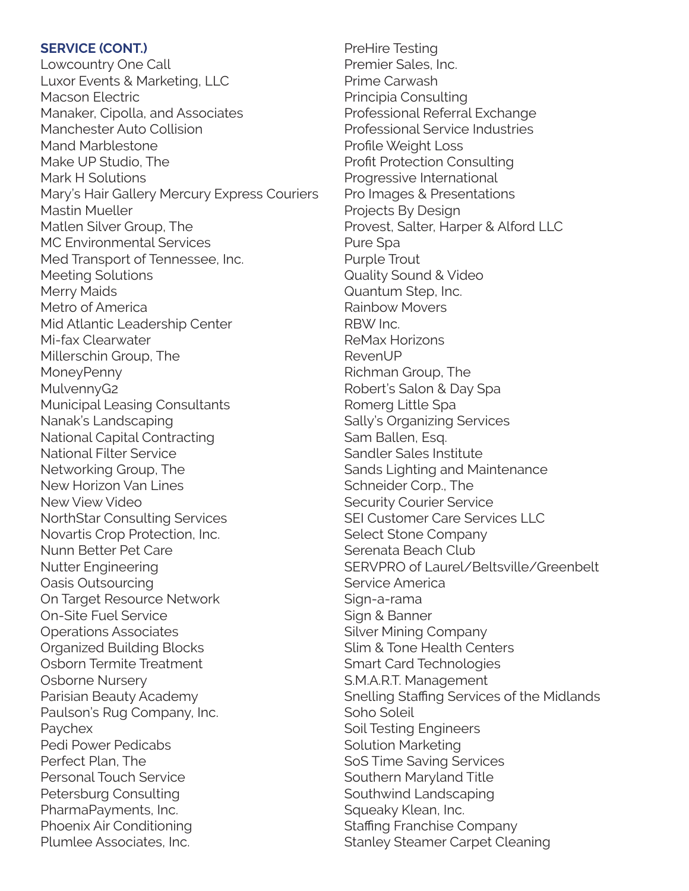#### **SERVICE (CONT.)**

Lowcountry One Call Luxor Events & Marketing, LLC Macson Electric Manaker, Cipolla, and Associates Manchester Auto Collision Mand Marblestone Make UP Studio, The Mark H Solutions Mary's Hair Gallery Mercury Express Couriers Mastin Mueller Matlen Silver Group, The MC Environmental Services Med Transport of Tennessee, Inc. Meeting Solutions Merry Maids Metro of America Mid Atlantic Leadership Center Mi-fax Clearwater Millerschin Group, The **MoneyPenny** MulvennyG2 Municipal Leasing Consultants Nanak's Landscaping National Capital Contracting National Filter Service Networking Group, The New Horizon Van Lines New View Video NorthStar Consulting Services Novartis Crop Protection, Inc. Nunn Better Pet Care Nutter Engineering Oasis Outsourcing On Target Resource Network On-Site Fuel Service Operations Associates Organized Building Blocks Osborn Termite Treatment Osborne Nursery Parisian Beauty Academy Paulson's Rug Company, Inc. Paychex Pedi Power Pedicabs Perfect Plan, The Personal Touch Service Petersburg Consulting PharmaPayments, Inc. Phoenix Air Conditioning Plumlee Associates, Inc.

PreHire Testing Premier Sales, Inc. Prime Carwash Principia Consulting Professional Referral Exchange Professional Service Industries Profile Weight Loss Profit Protection Consulting Progressive International Pro Images & Presentations Projects By Design Provest, Salter, Harper & Alford LLC Pure Spa Purple Trout Quality Sound & Video Quantum Step, Inc. Rainbow Movers RBW Inc. ReMax Horizons RevenUP Richman Group, The Robert's Salon & Day Spa Romerg Little Spa Sally's Organizing Services Sam Ballen, Esq. Sandler Sales Institute Sands Lighting and Maintenance Schneider Corp., The Security Courier Service SEI Customer Care Services LLC Select Stone Company Serenata Beach Club SERVPRO of Laurel/Beltsville/Greenbelt Service America Sign-a-rama Sign & Banner Silver Mining Company Slim & Tone Health Centers Smart Card Technologies S.M.A.R.T. Management Snelling Staffing Services of the Midlands Soho Soleil Soil Testing Engineers Solution Marketing SoS Time Saving Services Southern Maryland Title Southwind Landscaping Squeaky Klean, Inc. Staffing Franchise Company Stanley Steamer Carpet Cleaning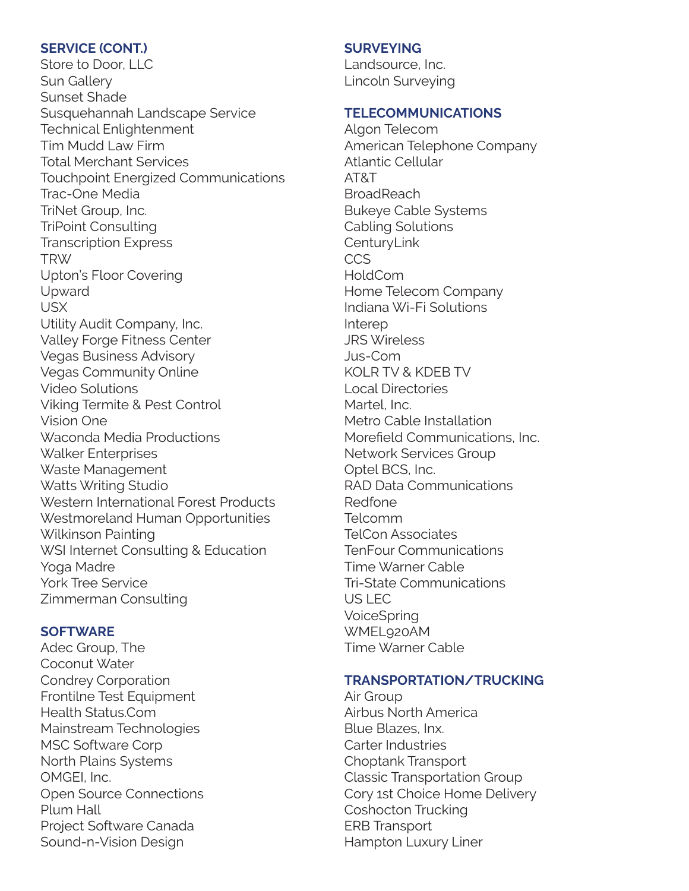#### **SERVICE (CONT.)**

Store to Door, LLC Sun Gallery Sunset Shade Susquehannah Landscape Service Technical Enlightenment Tim Mudd Law Firm Total Merchant Services Touchpoint Energized Communications Trac-One Media TriNet Group, Inc. TriPoint Consulting Transcription Express TRW Upton's Floor Covering Upward USX Utility Audit Company, Inc. Valley Forge Fitness Center Vegas Business Advisory Vegas Community Online Video Solutions Viking Termite & Pest Control Vision One Waconda Media Productions Walker Enterprises Waste Management Watts Writing Studio Western International Forest Products Westmoreland Human Opportunities Wilkinson Painting WSI Internet Consulting & Education Yoga Madre York Tree Service Zimmerman Consulting

#### **SOFTWARE**

Adec Group, The Coconut Water Condrey Corporation Frontilne Test Equipment Health Status.Com Mainstream Technologies MSC Software Corp North Plains Systems OMGEI, Inc. Open Source Connections Plum Hall Project Software Canada Sound-n-Vision Design

### **SURVEYING**

Landsource, Inc. Lincoln Surveying

#### **TELECOMMUNICATIONS**

Algon Telecom American Telephone Company Atlantic Cellular AT&T **BroadReach** Bukeye Cable Systems Cabling Solutions **CenturyLink** CCS HoldCom Home Telecom Company Indiana Wi-Fi Solutions Interep JRS Wireless Jus-Com KOLR TV & KDEB TV Local Directories Martel, Inc. Metro Cable Installation Morefield Communications, Inc. Network Services Group Optel BCS, Inc. RAD Data Communications Redfone Telcomm TelCon Associates TenFour Communications Time Warner Cable Tri-State Communications US LEC VoiceSpring WMEL920AM Time Warner Cable

#### **TRANSPORTATION/TRUCKING**

Air Group Airbus North America Blue Blazes, Inx. Carter Industries Choptank Transport Classic Transportation Group Cory 1st Choice Home Delivery Coshocton Trucking ERB Transport Hampton Luxury Liner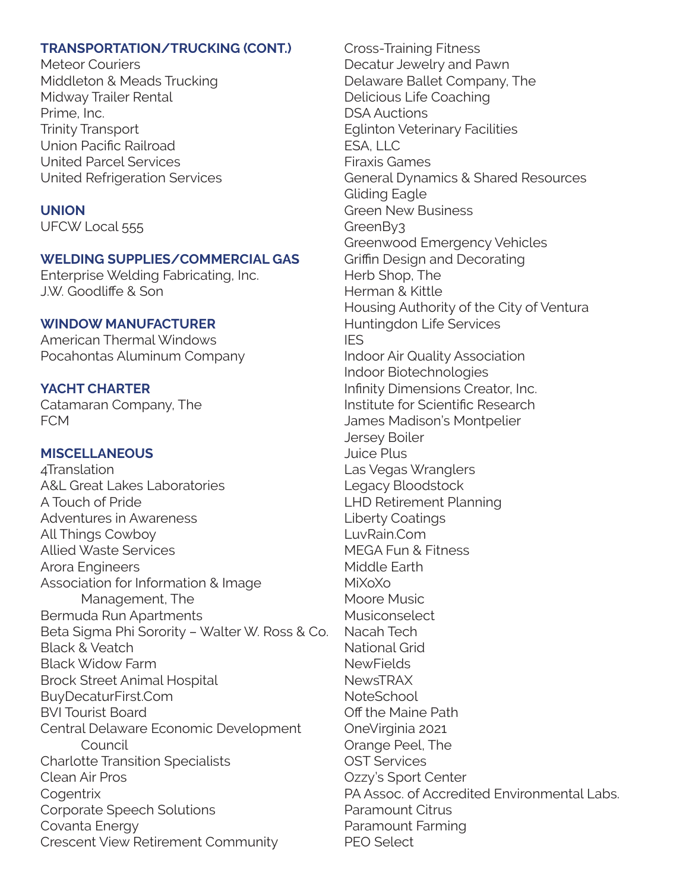#### **TRANSPORTATION/TRUCKING (CONT.)**

Meteor Couriers Middleton & Meads Trucking Midway Trailer Rental Prime, Inc. Trinity Transport Union Pacific Railroad United Parcel Services United Refrigeration Services

#### **UNION**

UFCW Local 555

### **WELDING SUPPLIES/COMMERCIAL GAS**

Enterprise Welding Fabricating, Inc. J.W. Goodliffe & Son

### **WINDOW MANUFACTURER**

American Thermal Windows Pocahontas Aluminum Company

### **YACHT CHARTER**

Catamaran Company, The FCM

#### **MISCELLANEOUS**

4Translation A&L Great Lakes Laboratories A Touch of Pride Adventures in Awareness All Things Cowboy Allied Waste Services Arora Engineers Association for Information & Image Management, The Bermuda Run Apartments Beta Sigma Phi Sorority – Walter W. Ross & Co. Black & Veatch Black Widow Farm Brock Street Animal Hospital BuyDecaturFirst.Com BVI Tourist Board Central Delaware Economic Development Council Charlotte Transition Specialists Clean Air Pros **Cogentrix** Corporate Speech Solutions Covanta Energy Crescent View Retirement Community

Cross-Training Fitness Decatur Jewelry and Pawn Delaware Ballet Company, The Delicious Life Coaching DSA Auctions Eglinton Veterinary Facilities ESA, LLC Firaxis Games General Dynamics & Shared Resources Gliding Eagle Green New Business GreenBy3 Greenwood Emergency Vehicles Griffin Design and Decorating Herb Shop, The Herman & Kittle Housing Authority of the City of Ventura Huntingdon Life Services IES Indoor Air Quality Association Indoor Biotechnologies Infinity Dimensions Creator, Inc. Institute for Scientific Research James Madison's Montpelier Jersey Boiler Juice Plus Las Vegas Wranglers Legacy Bloodstock LHD Retirement Planning Liberty Coatings LuvRain.Com MEGA Fun & Fitness Middle Earth MiXoXo Moore Music Musiconselect Nacah Tech National Grid **NewFields NewsTRAX NoteSchool** Off the Maine Path OneVirginia 2021 Orange Peel, The OST Services Ozzy's Sport Center PA Assoc. of Accredited Environmental Labs. Paramount Citrus Paramount Farming PEO Select